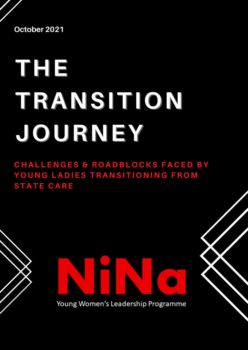**October 2021**

# **THE TRANSITION JOURNEY**

**CHALLENGES & ROADBLOCKS FACED BY** YOUNG LADIES TRANSITIONING FROM **S T A T E C A R E**

Young Women's Leadership Programme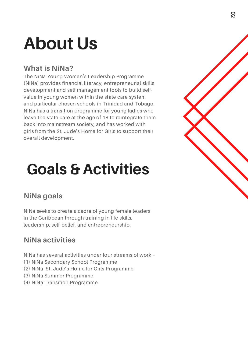### **About Us**

#### **What is NiNa?**

The NiNa Young Women's Leadership Programme (NiNa) provides financial literacy, entrepreneurial skills development and self management tools to build selfvalue in young women within the state care system and particular chosen schools in Trinidad and Tobago. NiNa has a transition programme for young ladies who leave the state care at the age of 18 to reintegrate them back into mainstream society, and has worked with girls from the St. Jude's Home for Girls to support their overall development.

### **Goals & Activities**

#### **NiNa goals**

NiNa seeks to create a cadre of young female leaders in the Caribbean through training in life skills, leadership, self-belief, and entrepreneurship.

#### **NiNa activities**

NiNa has several activities under four streams of work –

- (1) NiNa Secondary School Programme
- (2) NiNa St. Jude's Home for Girls Programme
- (3) NiNa Summer Programme
- (4) NiNa Transition Programme

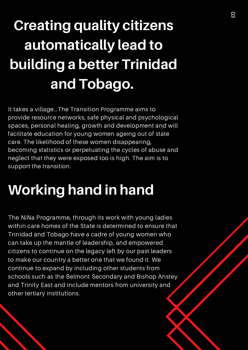### **Creating quality citizens automatically lead to building a better Trinidad and Tobago.**

It takes a village…The Transition Programme aims to provide resource networks, safe physical and psychological spaces, personal healing, growth and development and will facilitate education for young women ageing out of state care. The likelihood of these women disappearing, becoming statistics or perpetuating the cycles of abuse and neglect that they were exposed too is high. The aim is to support the transition.

### **Working hand in hand**

The NiNa Programme, through its work with young ladies within care homes of the State is determined to ensure that Trinidad and Tobago have a cadre of young women who can take up the mantle of leadership, and empowered citizens to continue on the legacy left by our past leaders to make our country a better one that we found it. We continue to expand by including other students from schools such as the Belmont Secondary and Bishop Anstey and Trinity East and include mentors from university and other tertiary institutions.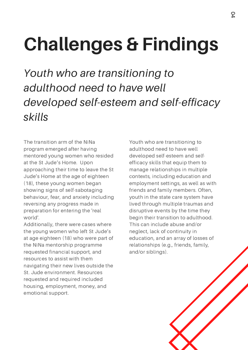### **Challenges & Findings**

*Youth who are transitioning to adulthood need to have well developed self-esteem and self-efficacy skills*

The transition arm of the NiNa program emerged after having mentored young women who resided at the St Jude's Home. Upon approaching their time to leave the St Jude's Home at the age of eighteen (18), these young women began showing signs of self-sabotaging behaviour, fear, and anxiety including reversing any progress made in preparation for entering the 'real world'.

Additionally, there were cases where the young women who left St Jude's at age eighteen (18) who were part of the NiNa mentorship programme requested financial support, and resources to assist with them navigating their new lives outside the St. Jude environment. Resources requested and required included housing, employment, money, and emotional support.

Youth who are transitioning to adulthood need to have well developed self-esteem and selfefficacy skills that equip them to manage relationships in multiple contexts, including education and employment settings, as well as with friends and family members. Often, youth in the state care system have lived through multiple traumas and disruptive events by the time they begin their transition to adulthood. This can include abuse and/or neglect, lack of continuity in education, and an array of losses of relationships (e.g., friends, family, and/or siblings).

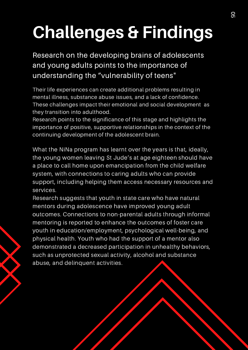## **Challenges & Findings**

Research on the developing brains of adolescents and young adults points to the importance of understanding the "vulnerability of teens"

Their life experiences can create additional problems resulting in mental illness, substance abuse issues, and a lack of confidence. These challenges impact their emotional and social development as they transition into adulthood.

Research points to the significance of this stage and highlights the importance of positive, supportive relationships in the context of the continuing development of the adolescent brain.

What the NiNa program has learnt over the years is that, ideally, the young women leaving St Jude's at age eighteen should have a place to call home upon emancipation from the child welfare system, with connections to caring adults who can provide support, including helping them access necessary resources and services.

Research suggests that youth in state care who have natural mentors during adolescence have improved young adult outcomes. Connections to non-parental adults through informal mentoring is reported to enhance the outcomes of foster care youth in education/employment, psychological well-being, and physical health. Youth who had the support of a mentor also demonstrated a decreased participation in unhealthy behaviors, such as unprotected sexual activity, alcohol and substance abuse, and delinquent activities.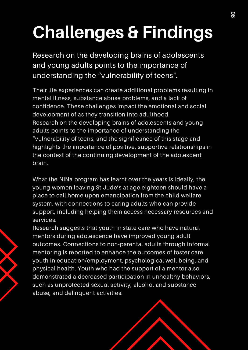### **Challenges & Findings**

Research on the developing brains of adolescents and young adults points to the importance of understanding the "vulnerability of teens".

Their life experiences can create additional problems resulting in mental illness, substance abuse problems, and a lack of confidence. These challenges impact the emotional and social development of as they transition into adulthood. Research on the developing brains of adolescents and young adults points to the importance of understanding the "vulnerability of teens, and the significance of this stage and highlights the importance of positive, supportive relationships in the context of the continuing development of the adolescent brain.

What the NiNa program has learnt over the years is Ideally, the young women leaving St Jude's at age eighteen should have a place to call home upon emancipation from the child welfare system, with connections to caring adults who can provide support, including helping them access necessary resources and services.

Research suggests that youth in state care who have natural mentors during adolescence have improved young adult outcomes. Connections to non-parental adults through informal mentoring is reported to enhance the outcomes of foster care youth in education/employment, psychological well-being, and physical health. Youth who had the support of a mentor also demonstrated a decreased participation in unhealthy behaviors, such as unprotected sexual activity, alcohol and substance abuse, and delinquent activities.

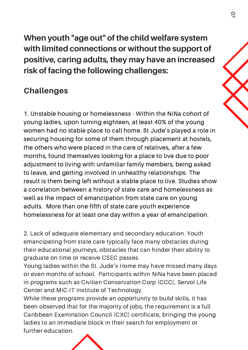**When youth "age out" of the child welfare system with limited connections or without the support of positive, caring adults, they may have an increased risk of facing the following challenges:**

#### **Challenges**

1. Unstable housing or homelessness - Within the NiNa cohort of young ladies, upon turning eighteen, at least 40% of the young women had no stable place to call home. St Jude's played a role in securing housing for some of them through placement at hostels, the others who were placed in the care of relatives, after a few months, found themselves looking for a place to live due to poor adjustment to living with unfamiliar family members, being asked to leave, and getting involved in unhealthy relationships. The result is them being left without a stable place to live. Studies show a correlation between a history of state care and homelessness as well as the impact of emancipation from state care on young adults. More than one-fifth of state care youth experience homelessness for at least one day within a year of emancipation.

2. Lack of adequate elementary and secondary education. Youth emancipating from state care typically face many obstacles during their educational journeys, obstacles that can hinder their ability to graduate on time or receive CSEC passes.

Young ladies within the St. Jude's Home may have missed many days or even months of school. Participants within NiNa have been placed in programs such as Civilian Conservation Corp (CCC), Servol Life Center and MIC-IT Institute of Technology.

While these programs provide an opportunity to build skills, it has been observed that for the majority of jobs, the requirement is a full Caribbean Examination Council (CXC) certificate, bringing the young ladies to an immediate block in their search for employment or further education.

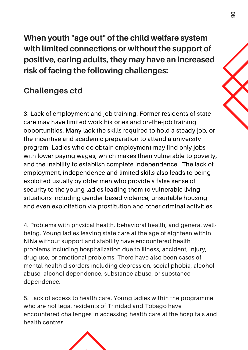**When youth "age out" of the child welfare system with limited connections or without the support of positive, caring adults, they may have an increased risk of facing the following challenges:**

#### **Challenges ctd**

3. Lack of employment and job training. Former residents of state care may have limited work histories and on-the-job training opportunities. Many lack the skills required to hold a steady job, or the incentive and academic preparation to attend a university program. Ladies who do obtain employment may find only jobs with lower paying wages, which makes them vulnerable to poverty, and the inability to establish complete independence. The lack of employment, independence and limited skills also leads to being exploited usually by older men who provide a false sense of security to the young ladies leading them to vulnerable living situations including gender based violence, unsuitable housing and even exploitation via prostitution and other criminal activities.

4. Problems with physical health, behavioral health, and general wellbeing. Young ladies leaving state care at the age of eighteen within NiNa without support and stability have encountered health problems including hospitalization due to illness, accident, injury, drug use, or emotional problems. There have also been cases of mental health disorders including depression, social phobia, alcohol abuse, alcohol dependence, substance abuse, or substance dependence.

5. Lack of access to health care. Young ladies within the programme who are not legal residents of Trinidad and Tobago have encountered challenges in accessing health care at the hospitals and health centres.

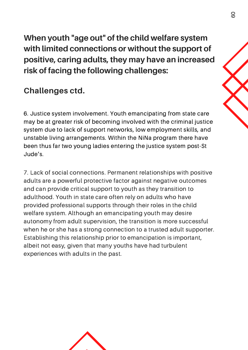**When youth "age out" of the child welfare system with limited connections or without the support of positive, caring adults, they may have an increased risk of facing the following challenges:**

#### **Challenges ctd.**

6. Justice system involvement. Youth emancipating from state care may be at greater risk of becoming involved with the criminal justice system due to lack of support networks, low employment skills, and unstable living arrangements. Within the NiNa program there have been thus far two young ladies entering the justice system post-St Jude's.

7. Lack of social connections. Permanent relationships with positive adults are a powerful protective factor against negative outcomes and can provide critical support to youth as they transition to adulthood. Youth in state care often rely on adults who have provided professional supports through their roles in the child welfare system. Although an emancipating youth may desire autonomy from adult supervision, the transition is more successful when he or she has a strong connection to a trusted adult supporter. Establishing this relationship prior to emancipation is important, albeit not easy, given that many youths have had turbulent experiences with adults in the past.

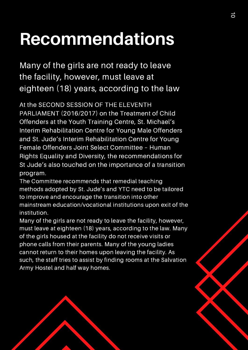### **Recommendations**

Many of the girls are not ready to leave the facility, however, must leave at eighteen (18) years, according to the law

At the SECOND SESSION OF THE ELEVENTH PARLIAMENT (2016/2017) on the Treatment of Child Offenders at the Youth Training Centre, St. Michael's Interim Rehabilitation Centre for Young Male Offenders and St. Jude's Interim Rehabilitation Centre for Young Female Offenders Joint Select Committee – Human Rights Equality and Diversity, the recommendations for St Jude's also touched on the importance of a transition program.

The Committee recommends that remedial teaching methods adopted by St. Jude's and YTC need to be tailored to improve and encourage the transition into other mainstream education/vocational institutions upon exit of the institution.

Many of the girls are not ready to leave the facility, however, must leave at eighteen (18) years, according to the law. Many of the girls housed at the facility do not receive visits or phone calls from their parents. Many of the young ladies cannot return to their homes upon leaving the facility. As such, the staff tries to assist by finding rooms at the Salvation Army Hostel and half way homes.

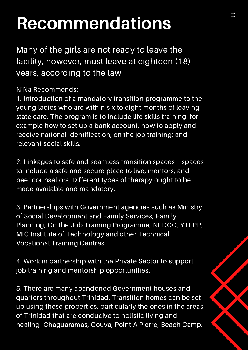### **Recommendations**

Many of the girls are not ready to leave the facility, however, must leave at eighteen (18) years, according to the law

NiNa Recommends:

1. Introduction of a mandatory transition programme to the young ladies who are within six to eight months of leaving state care. The program is to include life skills training: for example how to set up a bank account, how to apply and receive national identification; on the job training; and relevant social skills.

2. Linkages to safe and seamless transition spaces – spaces to include a safe and secure place to live, mentors, and peer counsellors. Different types of therapy ought to be made available and mandatory.

3. Partnerships with Government agencies such as Ministry of Social Development and Family Services, Family Planning, On the Job Training Programme, NEDCO, YTEPP, MIC Institute of Technology and other Technical Vocational Training Centres

4. Work in partnership with the Private Sector to support job training and mentorship opportunities.

5. There are many abandoned Government houses and quarters throughout Trinidad. Transition homes can be set up using these properties, particularly the ones in the areas of Trinidad that are conducive to holistic living and healing- Chaguaramas, Couva, Point A Pierre, Beach Camp.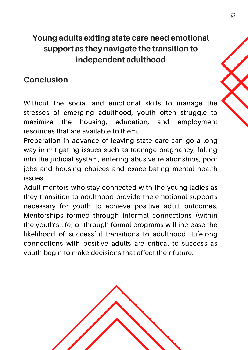#### **Young adults exiting state care need emotional support as they navigate the transition to independent adulthood**

#### **Conclusion**

Without the social and emotional skills to manage the stresses of emerging adulthood, youth often struggle to maximize the housing, education, and employment resources that are available to them.

Preparation in advance of leaving state care can go a long way in mitigating issues such as teenage pregnancy, falling into the judicial system, entering abusive relationships, poor jobs and housing choices and exacerbating mental health issues.

Adult mentors who stay connected with the young ladies as they transition to adulthood provide the emotional supports necessary for youth to achieve positive adult outcomes. Mentorships formed through informal connections (within the youth's life) or through formal programs will increase the likelihood of successful transitions to adulthood. Lifelong connections with positive adults are critical to success as youth begin to make decisions that affect their future.